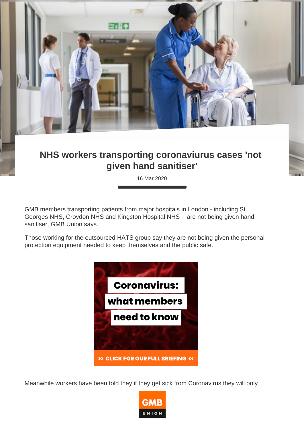## NHS workers transporting coronaviurus cases 'not given hand sanitiser'

16 Mar 2020

GMB members transporting patients from major hospitals in London - including St Georges NHS, Croydon NHS and Kingston Hospital NHS - are not being given hand sanitiser, GMB Union says.

Those working for the outsourced HATS group say they are not being given the personal protection equipment needed to keep themselves and the public safe.

Meanwhile workers have been told they if they get sick from Coronavirus they will only